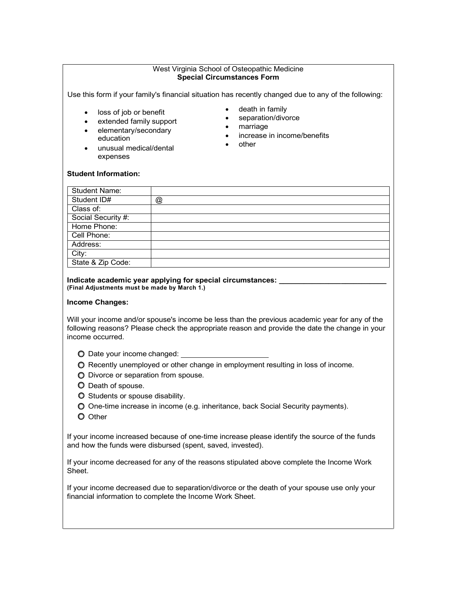### West Virginia School of Osteopathic Medicine **Special Circumstances Form**

Use this form if your family's financial situation has recently changed due to any of the following:

- loss of job or benefit
- extended family support
- elementary/secondary education
- unusual medical/dental expenses
- death in family
- separation/divorce
- marriage
- increase in income/benefits
- other

#### **Student Information:**

| <b>Student Name:</b> |   |
|----------------------|---|
| Student ID#          | @ |
| Class of:            |   |
| Social Security #:   |   |
| Home Phone:          |   |
| Cell Phone:          |   |
| Address:             |   |
| City:                |   |
| State & Zip Code:    |   |

#### **Indicate academic year applying for special circumstances: \_\_\_\_\_\_\_\_\_\_\_\_\_\_\_\_\_\_\_\_\_\_\_\_\_\_ (Final Adjustments must be made by March 1.)**

## **Income Changes:**

Will your income and/or spouse's income be less than the previous academic year for any of the following reasons? Please check the appropriate reason and provide the date the change in your income occurred.

- Date your income changed:
- Recently unemployed or other change in employment resulting in loss of income.
- $\bigcirc$  Divorce or separation from spouse.
- $\bullet$  Death of spouse.
- O Students or spouse disability.
- One-time increase in income (e.g. inheritance, back Social Security payments).
- O Other

If your income increased because of one-time increase please identify the source of the funds and how the funds were disbursed (spent, saved, invested).

If your income decreased for any of the reasons stipulated above complete the Income Work Sheet.

If your income decreased due to separation/divorce or the death of your spouse use only your financial information to complete the Income Work Sheet.